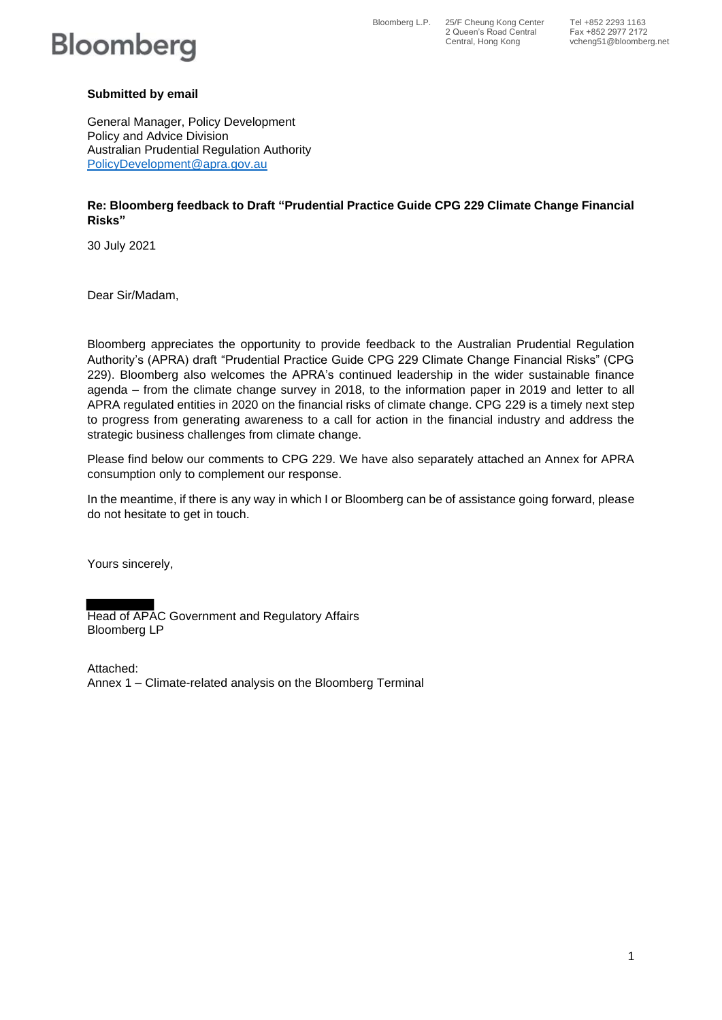# **Bloomberg**

Bloomberg L.P. 25/F Cheung Kong Center Tel +852 2293 1163 2 Queen's Road Central Fax +852 2977 2172

### **Submitted by email**

General Manager, Policy Development Policy and Advice Division Australian Prudential Regulation Authority PolicyDevelopment@apra.gov.au

### **Re: Bloomberg feedback to Draft "Prudential Practice Guide CPG 229 Climate Change Financial Risks"**

30 July 2021

Dear Sir/Madam,

Bloomberg appreciates the opportunity to provide feedback to the Australian Prudential Regulation Authority's (APRA) draft "Prudential Practice Guide CPG 229 Climate Change Financial Risks" (CPG 229). Bloomberg also welcomes the APRA's continued leadership in the wider sustainable finance agenda – from the climate change survey in 2018, to the information paper in 2019 and letter to all APRA regulated entities in 2020 on the financial risks of climate change. CPG 229 is a timely next step to progress from generating awareness to a call for action in the financial industry and address the strategic business challenges from climate change.

Please find below our comments to CPG 229. We have also separately attached an Annex for APRA consumption only to complement our response.

In the meantime, if there is any way in which I or Bloomberg can be of assistance going forward, please do not hesitate to get in touch.

Yours sincerely,

Head of APAC Government and Regulatory Affairs Bloomberg LP

Attached: Annex 1 – Climate-related analysis on the Bloomberg Terminal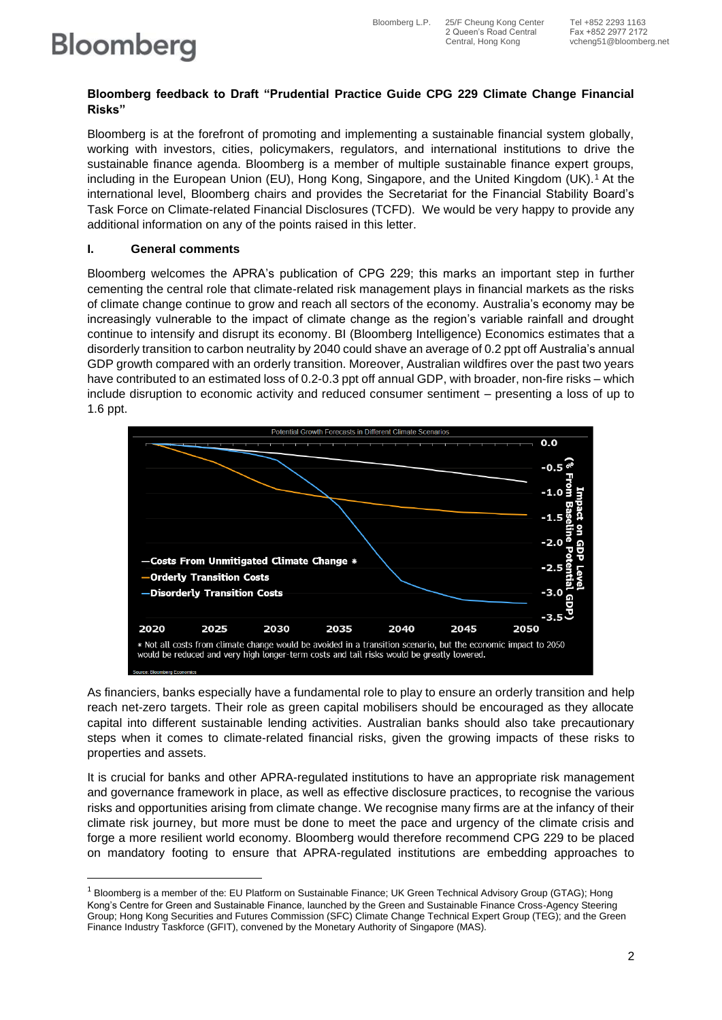2 Queen's Road Central Fax +852 2977 2172

# **Bloomberg**

#### **Bloomberg feedback to Draft "Prudential Practice Guide CPG 229 Climate Change Financial Risks"**

Bloomberg is at the forefront of promoting and implementing a sustainable financial system globally, working with investors, cities, policymakers, regulators, and international institutions to drive the sustainable finance agenda. Bloomberg is a member of multiple sustainable finance expert groups, including in the European Union (EU), Hong Kong, Singapore, and the United Kingdom (UK).<sup>1</sup> At the international level, Bloomberg chairs and provides the Secretariat for the Financial Stability Board's Task Force on Climate-related Financial Disclosures (TCFD). We would be very happy to provide any additional information on any of the points raised in this letter.

## **I. General comments**

Bloomberg welcomes the APRA's publication of CPG 229; this marks an important step in further cementing the central role that climate-related risk management plays in financial markets as the risks of climate change continue to grow and reach all sectors of the economy. Australia's economy may be increasingly vulnerable to the impact of climate change as the region's variable rainfall and drought continue to intensify and disrupt its economy. BI (Bloomberg Intelligence) Economics estimates that a disorderly transition to carbon neutrality by 2040 could shave an average of 0.2 ppt off Australia's annual GDP growth compared with an orderly transition. Moreover, Australian wildfires over the past two years have contributed to an estimated loss of 0.2-0.3 ppt off annual GDP, with broader, non-fire risks – which include disruption to economic activity and reduced consumer sentiment – presenting a loss of up to 1.6 ppt.



As financiers, banks especially have a fundamental role to play to ensure an orderly transition and help reach net-zero targets. Their role as green capital mobilisers should be encouraged as they allocate capital into different sustainable lending activities. Australian banks should also take precautionary steps when it comes to climate-related financial risks, given the growing impacts of these risks to properties and assets.

It is crucial for banks and other APRA-regulated institutions to have an appropriate risk management and governance framework in place, as well as effective disclosure practices, to recognise the various risks and opportunities arising from climate change. We recognise many firms are at the infancy of their climate risk journey, but more must be done to meet the pace and urgency of the climate crisis and forge a more resilient world economy. Bloomberg would therefore recommend CPG 229 to be placed on mandatory footing to ensure that APRA-regulated institutions are embedding approaches to

<sup>&</sup>lt;sup>1</sup> Bloomberg is a member of the: EU Platform on Sustainable Finance; UK Green Technical Advisory Group (GTAG); Hong Kong's Centre for Green and Sustainable Finance, launched by the Green and Sustainable Finance Cross-Agency Steering Group; Hong Kong Securities and Futures Commission (SFC) Climate Change Technical Expert Group (TEG); and the Green Finance Industry Taskforce (GFIT), convened by the Monetary Authority of Singapore (MAS).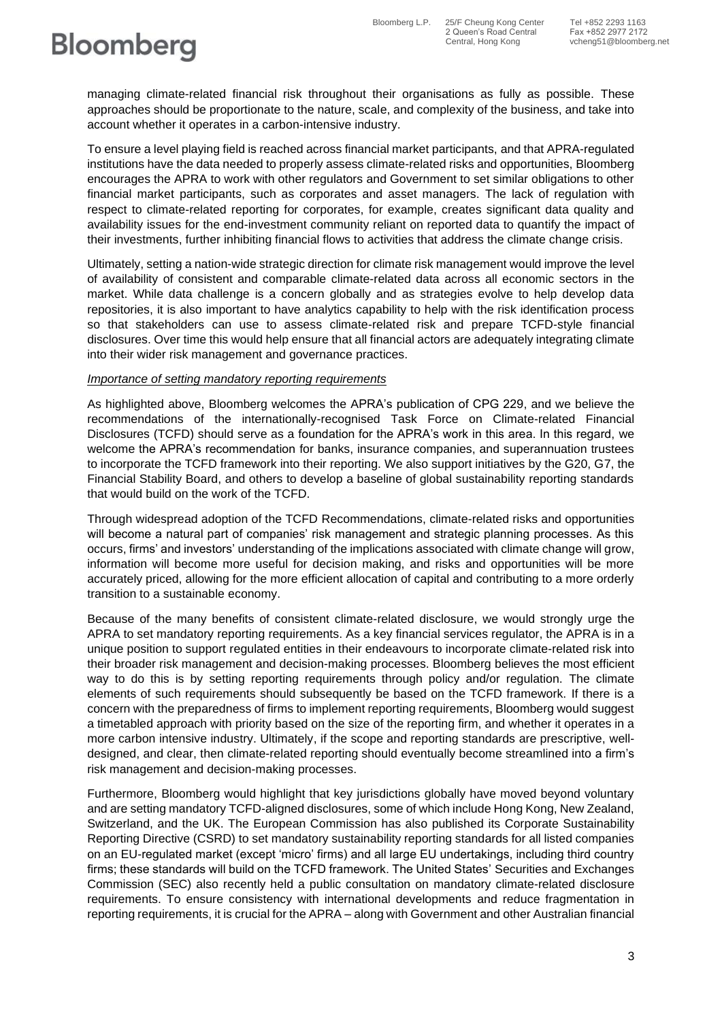2 Queen's Road Central Fax +852 2977 2172

# **Bloomberg**

managing climate-related financial risk throughout their organisations as fully as possible. These approaches should be proportionate to the nature, scale, and complexity of the business, and take into account whether it operates in a carbon-intensive industry.

To ensure a level playing field is reached across financial market participants, and that APRA-regulated institutions have the data needed to properly assess climate-related risks and opportunities, Bloomberg encourages the APRA to work with other regulators and Government to set similar obligations to other financial market participants, such as corporates and asset managers. The lack of regulation with respect to climate-related reporting for corporates, for example, creates significant data quality and availability issues for the end-investment community reliant on reported data to quantify the impact of their investments, further inhibiting financial flows to activities that address the climate change crisis.

Ultimately, setting a nation-wide strategic direction for climate risk management would improve the level of availability of consistent and comparable climate-related data across all economic sectors in the market. While data challenge is a concern globally and as strategies evolve to help develop data repositories, it is also important to have analytics capability to help with the risk identification process so that stakeholders can use to assess climate-related risk and prepare TCFD-style financial disclosures. Over time this would help ensure that all financial actors are adequately integrating climate into their wider risk management and governance practices.

#### *Importance of setting mandatory reporting requirements*

As highlighted above, Bloomberg welcomes the APRA's publication of CPG 229, and we believe the recommendations of the internationally-recognised Task Force on Climate-related Financial Disclosures (TCFD) should serve as a foundation for the APRA's work in this area. In this regard, we welcome the APRA's recommendation for banks, insurance companies, and superannuation trustees to incorporate the TCFD framework into their reporting. We also support initiatives by the G20, G7, the Financial Stability Board, and others to develop a baseline of global sustainability reporting standards that would build on the work of the TCFD.

Through widespread adoption of the TCFD Recommendations, climate-related risks and opportunities will become a natural part of companies' risk management and strategic planning processes. As this occurs, firms' and investors' understanding of the implications associated with climate change will grow, information will become more useful for decision making, and risks and opportunities will be more accurately priced, allowing for the more efficient allocation of capital and contributing to a more orderly transition to a sustainable economy.

Because of the many benefits of consistent climate-related disclosure, we would strongly urge the APRA to set mandatory reporting requirements. As a key financial services regulator, the APRA is in a unique position to support regulated entities in their endeavours to incorporate climate-related risk into their broader risk management and decision-making processes. Bloomberg believes the most efficient way to do this is by setting reporting requirements through policy and/or regulation. The climate elements of such requirements should subsequently be based on the TCFD framework. If there is a concern with the preparedness of firms to implement reporting requirements, Bloomberg would suggest a timetabled approach with priority based on the size of the reporting firm, and whether it operates in a more carbon intensive industry. Ultimately, if the scope and reporting standards are prescriptive, welldesigned, and clear, then climate-related reporting should eventually become streamlined into a firm's risk management and decision-making processes.

Furthermore, Bloomberg would highlight that key jurisdictions globally have moved beyond voluntary and are setting mandatory TCFD-aligned disclosures, some of which include Hong Kong, New Zealand, Switzerland, and the UK. The European Commission has also published its Corporate Sustainability Reporting Directive (CSRD) to set mandatory sustainability reporting standards for all listed companies on an EU-regulated market (except 'micro' firms) and all large EU undertakings, including third country firms; these standards will build on the TCFD framework. The United States' Securities and Exchanges Commission (SEC) also recently held a public consultation on mandatory climate-related disclosure requirements. To ensure consistency with international developments and reduce fragmentation in reporting requirements, it is crucial for the APRA – along with Government and other Australian financial